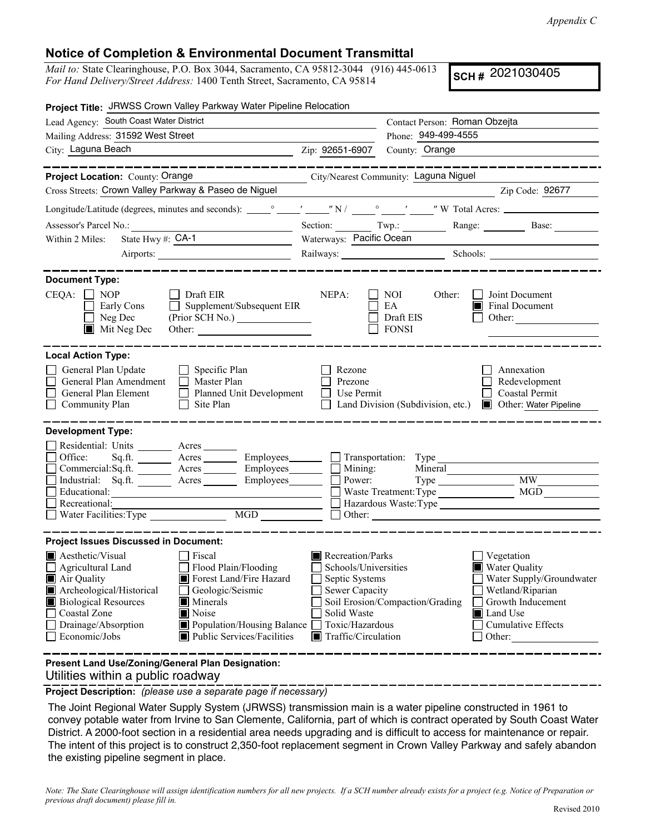## **Notice of Completion & Environmental Document Transmittal**

*Mail to:* State Clearinghouse, P.O. Box 3044, Sacramento, CA 95812-3044 (916) 445-0613 *For Hand Delivery/Street Address:* 1400 Tenth Street, Sacramento, CA 95814

**SCH #** 2021030405

| <b>Project Title: JRWSS Crown Valley Parkway Water Pipeline Relocation</b>                                                                                                                                                                                                                                                                                                                                                         |                                                                                                                                                                            |                                                  |                                                                                                                                                                                                                                |
|------------------------------------------------------------------------------------------------------------------------------------------------------------------------------------------------------------------------------------------------------------------------------------------------------------------------------------------------------------------------------------------------------------------------------------|----------------------------------------------------------------------------------------------------------------------------------------------------------------------------|--------------------------------------------------|--------------------------------------------------------------------------------------------------------------------------------------------------------------------------------------------------------------------------------|
| Lead Agency: South Coast Water District                                                                                                                                                                                                                                                                                                                                                                                            |                                                                                                                                                                            | Contact Person: Roman Obzejta                    |                                                                                                                                                                                                                                |
| Mailing Address: 31592 West Street                                                                                                                                                                                                                                                                                                                                                                                                 |                                                                                                                                                                            | Phone: 949-499-4555                              |                                                                                                                                                                                                                                |
| City: Laguna Beach<br>Zip: 92651-6907                                                                                                                                                                                                                                                                                                                                                                                              |                                                                                                                                                                            | County: Orange                                   |                                                                                                                                                                                                                                |
| ____________                                                                                                                                                                                                                                                                                                                                                                                                                       |                                                                                                                                                                            |                                                  | ____________                                                                                                                                                                                                                   |
| Project Location: County: Orange                                                                                                                                                                                                                                                                                                                                                                                                   |                                                                                                                                                                            | City/Nearest Community: Laguna Niguel            |                                                                                                                                                                                                                                |
| Cross Streets: Crown Valley Parkway & Paseo de Niguel                                                                                                                                                                                                                                                                                                                                                                              |                                                                                                                                                                            |                                                  | Zip Code: 92677                                                                                                                                                                                                                |
|                                                                                                                                                                                                                                                                                                                                                                                                                                    |                                                                                                                                                                            |                                                  |                                                                                                                                                                                                                                |
| Assessor's Parcel No.:<br><u> 1989 - Johann Barbara, martin basa</u>                                                                                                                                                                                                                                                                                                                                                               |                                                                                                                                                                            |                                                  | Section: Twp.: Range: Base:                                                                                                                                                                                                    |
| State Hwy #: $CA-1$<br>Within 2 Miles:                                                                                                                                                                                                                                                                                                                                                                                             | Waterways: Pacific Ocean                                                                                                                                                   |                                                  |                                                                                                                                                                                                                                |
|                                                                                                                                                                                                                                                                                                                                                                                                                                    |                                                                                                                                                                            |                                                  | Railways: Schools: Schools: Charles Schools: Charles Schools: Charles Schools: Charles Schools: Charles Schools: Charles Schools: Charles Schools: Charles Schools: Charles Schools: Charles Schools: Charles Schools: Charles |
| <b>Document Type:</b>                                                                                                                                                                                                                                                                                                                                                                                                              |                                                                                                                                                                            |                                                  |                                                                                                                                                                                                                                |
| $CEQA: \Box NOP$<br>Draft EIR<br>Early Cons<br>$\Box$ Supplement/Subsequent EIR<br>$\Box$ Neg Dec<br>$\blacksquare$ Mit Neg Dec                                                                                                                                                                                                                                                                                                    | NEPA:                                                                                                                                                                      | NOI<br>Other:<br>EA<br>Draft EIS<br><b>FONSI</b> | Joint Document<br>$\blacksquare$ Final Document<br>Other:                                                                                                                                                                      |
| <b>Local Action Type:</b><br>General Plan Update<br>$\Box$ Specific Plan<br>General Plan Amendment<br>Master Plan<br>General Plan Element Planned Unit Development<br>Community Plan<br>$\Box$ Site Plan                                                                                                                                                                                                                           | Rezone<br>Prezone<br>Use Permit                                                                                                                                            |                                                  | Annexation<br>Redevelopment<br>Coastal Permit<br>Land Division (Subdivision, etc.) ■ Other: Water Pipeline                                                                                                                     |
| <b>Development Type:</b><br>Residential: Units ________ Acres _______<br>Office:<br>Sq.ft. _________ Acres ___________ Employees________<br>Commercial:Sq.ft. _________ Acres __________ Employees________<br>Industrial: Sq.ft. ________ Acres _______<br>Employees________<br>Educational:<br><u> 1989 - Andrea State Barnett, amerikansk politiker (</u><br>Recreational:<br>$\underline{\text{MGD}}$<br>Water Facilities: Type | Mining:<br>Power:                                                                                                                                                          | Mineral<br>Waste Treatment: Type MGD             |                                                                                                                                                                                                                                |
| <b>Project Issues Discussed in Document:</b>                                                                                                                                                                                                                                                                                                                                                                                       |                                                                                                                                                                            |                                                  |                                                                                                                                                                                                                                |
| $\blacksquare$ Aesthetic/Visual<br>Fiscal<br>$\Box$ Agricultural Land<br>Flood Plain/Flooding<br>$\blacksquare$ Air Quality<br>Forest Land/Fire Hazard<br>Archeological/Historical<br>Geologic/Seismic<br><b>Biological Resources</b><br>Minerals<br>Coastal Zone<br>Noise<br>Population/Housing Balance<br>Drainage/Absorption<br>Economic/Jobs<br>Public Services/Facilities                                                     | $\blacksquare$ Recreation/Parks<br>Schools/Universities<br>Septic Systems<br><b>Sewer Capacity</b><br>Solid Waste<br>Toxic/Hazardous<br>$\blacksquare$ Traffic/Circulation | Soil Erosion/Compaction/Grading                  | Vegetation<br>■ Water Quality<br>Water Supply/Groundwater<br>Wetland/Riparian<br>Growth Inducement<br>Land Use<br><b>Cumulative Effects</b><br>Other:                                                                          |
| Present Land Use/Zoning/General Plan Designation:                                                                                                                                                                                                                                                                                                                                                                                  |                                                                                                                                                                            |                                                  |                                                                                                                                                                                                                                |

Utilities within a public roadway

**Project Description:** *(please use a separate page if necessary)*

 The Joint Regional Water Supply System (JRWSS) transmission main is a water pipeline constructed in 1961 to convey potable water from Irvine to San Clemente, California, part of which is contract operated by South Coast Water District. A 2000-foot section in a residential area needs upgrading and is difficult to access for maintenance or repair. The intent of this project is to construct 2,350-foot replacement segment in Crown Valley Parkway and safely abandon the existing pipeline segment in place.

*Note: The State Clearinghouse will assign identification numbers for all new projects. If a SCH number already exists for a project (e.g. Notice of Preparation or previous draft document) please fill in.*